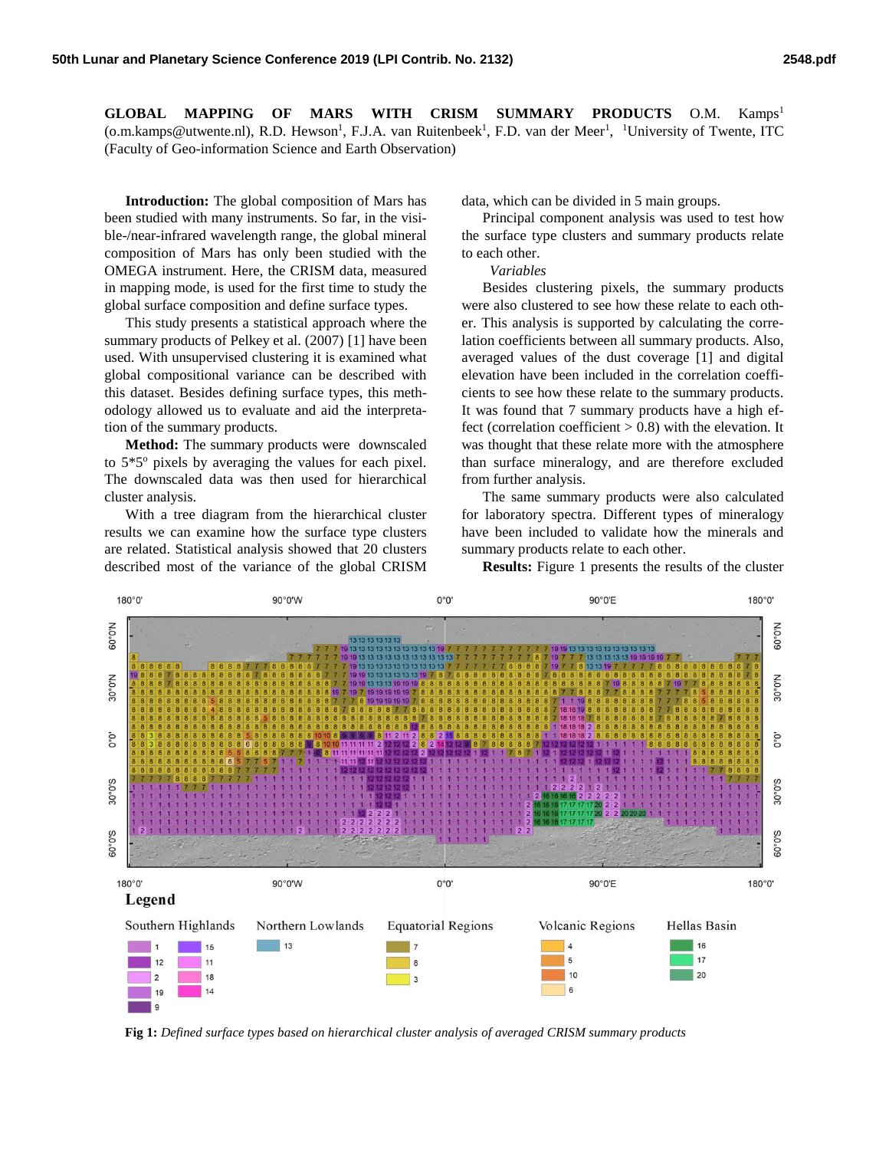**GLOBAL MAPPING OF MARS WITH CRISM SUMMARY PRODUCTS** O.M. Kamps<sup>1</sup> (o.m.kamps@utwente.nl), R.D. Hewson<sup>1</sup>, F.J.A. van Ruitenbeek<sup>1</sup>, F.D. van der Meer<sup>1</sup>, <sup>1</sup>University of Twente, ITC (Faculty of Geo-information Science and Earth Observation)

**Introduction:** The global composition of Mars has been studied with many instruments. So far, in the visible-/near-infrared wavelength range, the global mineral composition of Mars has only been studied with the OMEGA instrument. Here, the CRISM data, measured in mapping mode, is used for the first time to study the global surface composition and define surface types.

This study presents a statistical approach where the summary products of Pelkey et al. (2007) [1] have been used. With unsupervised clustering it is examined what global compositional variance can be described with this dataset. Besides defining surface types, this methodology allowed us to evaluate and aid the interpretation of the summary products.

**Method:** The summary products were downscaled to  $5*5°$  pixels by averaging the values for each pixel. The downscaled data was then used for hierarchical cluster analysis.

With a tree diagram from the hierarchical cluster results we can examine how the surface type clusters are related. Statistical analysis showed that 20 clusters described most of the variance of the global CRISM data, which can be divided in 5 main groups.

Principal component analysis was used to test how the surface type clusters and summary products relate to each other.

*Variables*

Besides clustering pixels, the summary products were also clustered to see how these relate to each other. This analysis is supported by calculating the correlation coefficients between all summary products. Also, averaged values of the dust coverage [1] and digital elevation have been included in the correlation coefficients to see how these relate to the summary products. It was found that 7 summary products have a high effect (correlation coefficient  $> 0.8$ ) with the elevation. It was thought that these relate more with the atmosphere than surface mineralogy, and are therefore excluded from further analysis.

The same summary products were also calculated for laboratory spectra. Different types of mineralogy have been included to validate how the minerals and summary products relate to each other.

**Results:** Figure 1 presents the results of the cluster



**Fig 1:** *Defined surface types based on hierarchical cluster analysis of averaged CRISM summary products*